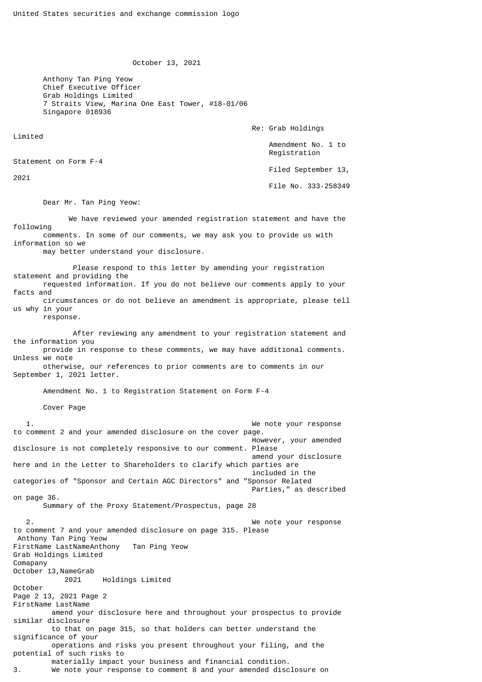October 13, 2021

 Anthony Tan Ping Yeow Chief Executive Officer Grab Holdings Limited 7 Straits View, Marina One East Tower, #18-01/06 Singapore 018936

Re: Grab Holdings

 Amendment No. 1 to Registration

Filed September 13,

File No. 333-258349

Dear Mr. Tan Ping Yeow:

 We have reviewed your amended registration statement and have the following comments. In some of our comments, we may ask you to provide us with information so we

may better understand your disclosure.

 Please respond to this letter by amending your registration statement and providing the requested information. If you do not believe our comments apply to your facts and circumstances or do not believe an amendment is appropriate, please tell us why in your

response.

Limited

2021

Statement on Form F-4

 After reviewing any amendment to your registration statement and the information you provide in response to these comments, we may have additional comments.

Unless we note otherwise, our references to prior comments are to comments in our

September 1, 2021 letter.

Amendment No. 1 to Registration Statement on Form F-4

Cover Page

 1. We note your response to comment 2 and your amended disclosure on the cover page. However, your amended disclosure is not completely responsive to our comment. Please amend your disclosure here and in the Letter to Shareholders to clarify which parties are included in the categories of "Sponsor and Certain AGC Directors" and "Sponsor Related Parties," as described on page 36. Summary of the Proxy Statement/Prospectus, page 28 We note your response to comment 7 and your amended disclosure on page 315. Please Anthony Tan Ping Yeow FirstName LastNameAnthony Tan Ping Yeow Grab Holdings Limited Comapany October 13,NameGrab 2021 Holdings Limited October Page 2 13, 2021 Page 2 FirstName LastName amend your disclosure here and throughout your prospectus to provide similar disclosure to that on page 315, so that holders can better understand the significance of your operations and risks you present throughout your filing, and the potential of such risks to materially impact your business and financial condition. 3. We note your response to comment 8 and your amended disclosure on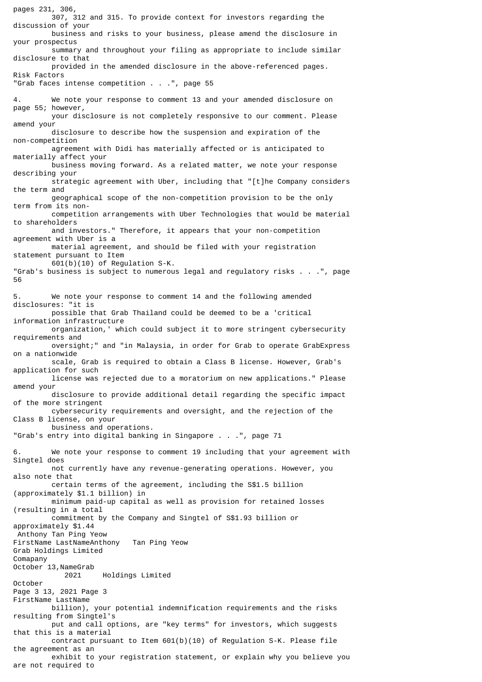pages 231, 306, 307, 312 and 315. To provide context for investors regarding the discussion of your business and risks to your business, please amend the disclosure in your prospectus summary and throughout your filing as appropriate to include similar disclosure to that provided in the amended disclosure in the above-referenced pages. Risk Factors "Grab faces intense competition . . .", page 55 4. We note your response to comment 13 and your amended disclosure on page 55; however, your disclosure is not completely responsive to our comment. Please amend your disclosure to describe how the suspension and expiration of the non-competition agreement with Didi has materially affected or is anticipated to materially affect your business moving forward. As a related matter, we note your response describing your strategic agreement with Uber, including that "[t]he Company considers the term and geographical scope of the non-competition provision to be the only term from its non competition arrangements with Uber Technologies that would be material to shareholders and investors." Therefore, it appears that your non-competition agreement with Uber is a material agreement, and should be filed with your registration statement pursuant to Item 601(b)(10) of Regulation S-K. "Grab's business is subject to numerous legal and regulatory risks . . .", page 56 5. We note your response to comment 14 and the following amended disclosures: "it is possible that Grab Thailand could be deemed to be a 'critical information infrastructure organization,' which could subject it to more stringent cybersecurity requirements and oversight;" and "in Malaysia, in order for Grab to operate GrabExpress on a nationwide scale, Grab is required to obtain a Class B license. However, Grab's application for such license was rejected due to a moratorium on new applications." Please amend your disclosure to provide additional detail regarding the specific impact of the more stringent cybersecurity requirements and oversight, and the rejection of the Class B license, on your business and operations. "Grab's entry into digital banking in Singapore . . .", page 71 6. We note your response to comment 19 including that your agreement with Singtel does not currently have any revenue-generating operations. However, you also note that certain terms of the agreement, including the S\$1.5 billion (approximately \$1.1 billion) in minimum paid-up capital as well as provision for retained losses (resulting in a total commitment by the Company and Singtel of S\$1.93 billion or approximately \$1.44 Anthony Tan Ping Yeow FirstName LastNameAnthony Tan Ping Yeow Grab Holdings Limited Comapany October 13,NameGrab 2021 Holdings Limited October Page 3 13, 2021 Page 3 FirstName LastName billion), your potential indemnification requirements and the risks resulting from Singtel's put and call options, are "key terms" for investors, which suggests that this is a material contract pursuant to Item 601(b)(10) of Regulation S-K. Please file the agreement as an exhibit to your registration statement, or explain why you believe you are not required to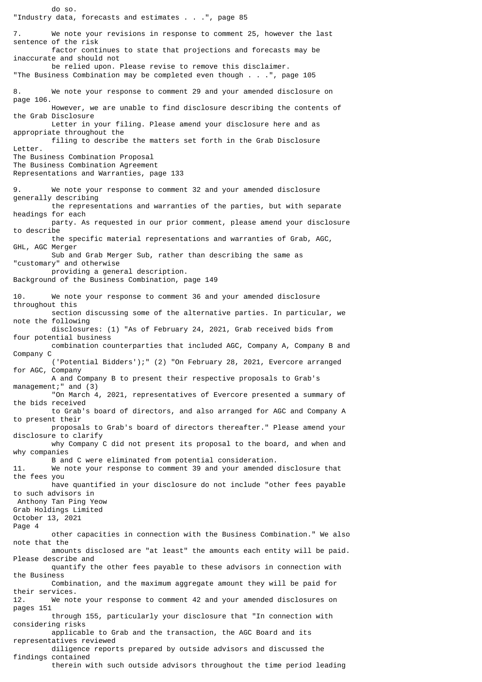do so. "Industry data, forecasts and estimates . . .", page 85 7. We note your revisions in response to comment 25, however the last sentence of the risk factor continues to state that projections and forecasts may be inaccurate and should not be relied upon. Please revise to remove this disclaimer. "The Business Combination may be completed even though . . .", page 105 8. We note your response to comment 29 and your amended disclosure on page 106. However, we are unable to find disclosure describing the contents of the Grab Disclosure Letter in your filing. Please amend your disclosure here and as appropriate throughout the filing to describe the matters set forth in the Grab Disclosure Letter. The Business Combination Proposal The Business Combination Agreement Representations and Warranties, page 133 9. We note your response to comment 32 and your amended disclosure generally describing the representations and warranties of the parties, but with separate headings for each party. As requested in our prior comment, please amend your disclosure to describe the specific material representations and warranties of Grab, AGC, GHL, AGC Merger Sub and Grab Merger Sub, rather than describing the same as "customary" and otherwise providing a general description. Background of the Business Combination, page 149 10. We note your response to comment 36 and your amended disclosure throughout this section discussing some of the alternative parties. In particular, we note the following disclosures: (1) "As of February 24, 2021, Grab received bids from four potential business combination counterparties that included AGC, Company A, Company B and Company C ('Potential Bidders');" (2) "On February 28, 2021, Evercore arranged for AGC, Company A and Company B to present their respective proposals to Grab's management;" and (3) "On March 4, 2021, representatives of Evercore presented a summary of the bids received to Grab's board of directors, and also arranged for AGC and Company A to present their proposals to Grab's board of directors thereafter." Please amend your disclosure to clarify why Company C did not present its proposal to the board, and when and why companies B and C were eliminated from potential consideration. 11. We note your response to comment 39 and your amended disclosure that the fees you have quantified in your disclosure do not include "other fees payable to such advisors in Anthony Tan Ping Yeow Grab Holdings Limited October 13, 2021 Page 4 other capacities in connection with the Business Combination." We also note that the amounts disclosed are "at least" the amounts each entity will be paid. Please describe and quantify the other fees payable to these advisors in connection with the Business Combination, and the maximum aggregate amount they will be paid for their services. 12. We note your response to comment 42 and your amended disclosures on pages 151 through 155, particularly your disclosure that "In connection with considering risks applicable to Grab and the transaction, the AGC Board and its representatives reviewed diligence reports prepared by outside advisors and discussed the findings contained therein with such outside advisors throughout the time period leading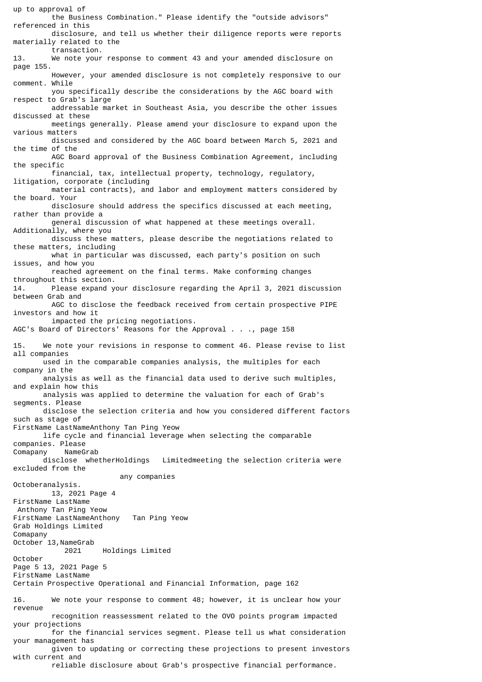up to approval of the Business Combination." Please identify the "outside advisors" referenced in this disclosure, and tell us whether their diligence reports were reports materially related to the transaction. 13. We note your response to comment 43 and your amended disclosure on page 155. However, your amended disclosure is not completely responsive to our comment. While you specifically describe the considerations by the AGC board with respect to Grab's large addressable market in Southeast Asia, you describe the other issues discussed at these meetings generally. Please amend your disclosure to expand upon the various matters discussed and considered by the AGC board between March 5, 2021 and the time of the AGC Board approval of the Business Combination Agreement, including the specific financial, tax, intellectual property, technology, regulatory, litigation, corporate (including material contracts), and labor and employment matters considered by the board. Your disclosure should address the specifics discussed at each meeting, rather than provide a general discussion of what happened at these meetings overall. Additionally, where you discuss these matters, please describe the negotiations related to these matters, including what in particular was discussed, each party's position on such issues, and how you reached agreement on the final terms. Make conforming changes throughout this section. 14. Please expand your disclosure regarding the April 3, 2021 discussion between Grab and AGC to disclose the feedback received from certain prospective PIPE investors and how it impacted the pricing negotiations. AGC's Board of Directors' Reasons for the Approval . . ., page 158 15. We note your revisions in response to comment 46. Please revise to list all companies used in the comparable companies analysis, the multiples for each company in the analysis as well as the financial data used to derive such multiples, and explain how this analysis was applied to determine the valuation for each of Grab's segments. Please disclose the selection criteria and how you considered different factors such as stage of FirstName LastNameAnthony Tan Ping Yeow life cycle and financial leverage when selecting the comparable companies. Please Comapany NameGrab disclose whetherHoldings Limitedmeeting the selection criteria were excluded from the any companies Octoberanalysis. 13, 2021 Page 4 FirstName LastName Anthony Tan Ping Yeow FirstName LastNameAnthony Tan Ping Yeow Grab Holdings Limited Comapany October 13,NameGrab 2021 Holdings Limited October Page 5 13, 2021 Page 5 FirstName LastName Certain Prospective Operational and Financial Information, page 162 16. We note your response to comment 48; however, it is unclear how your revenue recognition reassessment related to the OVO points program impacted your projections for the financial services segment. Please tell us what consideration your management has given to updating or correcting these projections to present investors with current and reliable disclosure about Grab's prospective financial performance.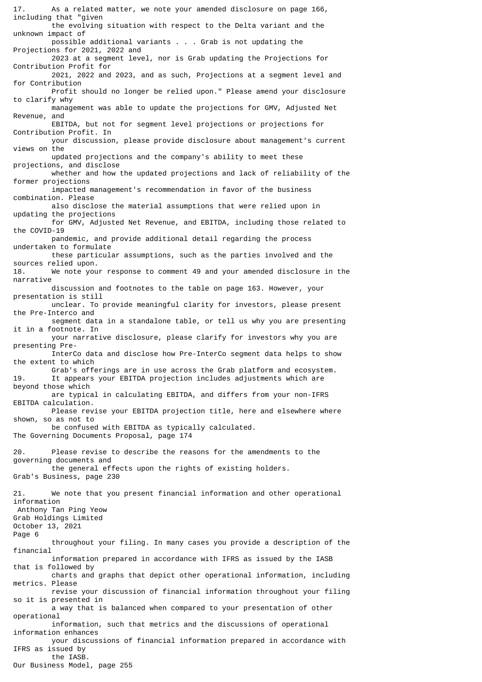17. As a related matter, we note your amended disclosure on page 166, including that "given the evolving situation with respect to the Delta variant and the unknown impact of possible additional variants . . . Grab is not updating the Projections for 2021, 2022 and 2023 at a segment level, nor is Grab updating the Projections for Contribution Profit for 2021, 2022 and 2023, and as such, Projections at a segment level and for Contribution Profit should no longer be relied upon." Please amend your disclosure to clarify why management was able to update the projections for GMV, Adjusted Net Revenue, and EBITDA, but not for segment level projections or projections for Contribution Profit. In your discussion, please provide disclosure about management's current views on the updated projections and the company's ability to meet these projections, and disclose whether and how the updated projections and lack of reliability of the former projections impacted management's recommendation in favor of the business combination. Please also disclose the material assumptions that were relied upon in updating the projections for GMV, Adjusted Net Revenue, and EBITDA, including those related to the COVID-19 pandemic, and provide additional detail regarding the process undertaken to formulate these particular assumptions, such as the parties involved and the sources relied upon. 18. We note your response to comment 49 and your amended disclosure in the narrative discussion and footnotes to the table on page 163. However, your presentation is still unclear. To provide meaningful clarity for investors, please present the Pre-Interco and segment data in a standalone table, or tell us why you are presenting it in a footnote. In your narrative disclosure, please clarify for investors why you are presenting Pre- InterCo data and disclose how Pre-InterCo segment data helps to show the extent to which Grab's offerings are in use across the Grab platform and ecosystem. 19. It appears your EBITDA projection includes adjustments which are beyond those which are typical in calculating EBITDA, and differs from your non-IFRS EBITDA calculation. Please revise your EBITDA projection title, here and elsewhere where shown, so as not to be confused with EBITDA as typically calculated. The Governing Documents Proposal, page 174 20. Please revise to describe the reasons for the amendments to the governing documents and the general effects upon the rights of existing holders. Grab's Business, page 230 21. We note that you present financial information and other operational information Anthony Tan Ping Yeow Grab Holdings Limited October 13, 2021 Page 6 throughout your filing. In many cases you provide a description of the financial information prepared in accordance with IFRS as issued by the IASB that is followed by charts and graphs that depict other operational information, including metrics. Please revise your discussion of financial information throughout your filing so it is presented in a way that is balanced when compared to your presentation of other operational information, such that metrics and the discussions of operational information enhances your discussions of financial information prepared in accordance with IFRS as issued by the IASB. Our Business Model, page 255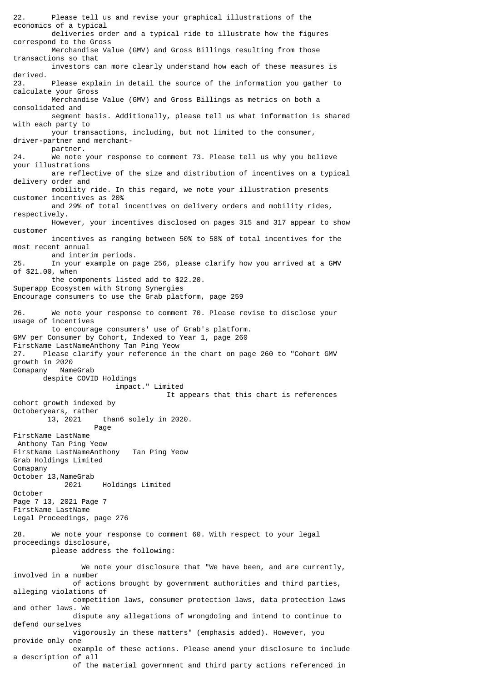22. Please tell us and revise your graphical illustrations of the economics of a typical deliveries order and a typical ride to illustrate how the figures correspond to the Gross Merchandise Value (GMV) and Gross Billings resulting from those transactions so that investors can more clearly understand how each of these measures is derived. 23. Please explain in detail the source of the information you gather to calculate your Gross Merchandise Value (GMV) and Gross Billings as metrics on both a consolidated and segment basis. Additionally, please tell us what information is shared with each party to your transactions, including, but not limited to the consumer, driver-partner and merchant partner.<br>24. We note We note your response to comment 73. Please tell us why you believe your illustrations are reflective of the size and distribution of incentives on a typical delivery order and mobility ride. In this regard, we note your illustration presents customer incentives as 20% and 29% of total incentives on delivery orders and mobility rides, respectively. However, your incentives disclosed on pages 315 and 317 appear to show customer incentives as ranging between 50% to 58% of total incentives for the most recent annual and interim periods. 25. In your example on page 256, please clarify how you arrived at a GMV of \$21.00, when the components listed add to \$22.20. Superapp Ecosystem with Strong Synergies Encourage consumers to use the Grab platform, page 259 26. We note your response to comment 70. Please revise to disclose your usage of incentives to encourage consumers' use of Grab's platform. GMV per Consumer by Cohort, Indexed to Year 1, page 260 FirstName LastNameAnthony Tan Ping Yeow 27. Please clarify your reference in the chart on page 260 to "Cohort GMV growth in 2020<br>Comapany NameGrab Comapany despite COVID Holdings impact." Limited It appears that this chart is references cohort growth indexed by Octoberyears, rather 13, 2021 than6 solely in 2020. Page FirstName LastName Anthony Tan Ping Yeow FirstName LastNameAnthony Tan Ping Yeow Grab Holdings Limited Comapany October 13,NameGrab 2021 Holdings Limited October Page 7 13, 2021 Page 7 FirstName LastName Legal Proceedings, page 276 28. We note your response to comment 60. With respect to your legal proceedings disclosure, please address the following: We note your disclosure that "We have been, and are currently, involved in a number of actions brought by government authorities and third parties, alleging violations of competition laws, consumer protection laws, data protection laws and other laws. We dispute any allegations of wrongdoing and intend to continue to defend ourselves vigorously in these matters" (emphasis added). However, you provide only one example of these actions. Please amend your disclosure to include a description of all of the material government and third party actions referenced in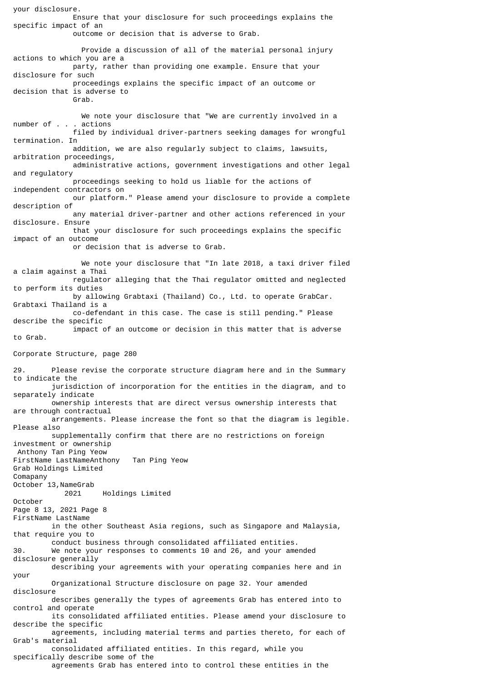your disclosure. Ensure that your disclosure for such proceedings explains the specific impact of an outcome or decision that is adverse to Grab. Provide a discussion of all of the material personal injury actions to which you are a party, rather than providing one example. Ensure that your disclosure for such proceedings explains the specific impact of an outcome or decision that is adverse to Grab. We note your disclosure that "We are currently involved in a number of . . . actions filed by individual driver-partners seeking damages for wrongful termination. In addition, we are also regularly subject to claims, lawsuits, arbitration proceedings, administrative actions, government investigations and other legal and regulatory proceedings seeking to hold us liable for the actions of independent contractors on our platform." Please amend your disclosure to provide a complete description of any material driver-partner and other actions referenced in your disclosure. Ensure that your disclosure for such proceedings explains the specific impact of an outcome or decision that is adverse to Grab. We note your disclosure that "In late 2018, a taxi driver filed a claim against a Thai regulator alleging that the Thai regulator omitted and neglected to perform its duties by allowing Grabtaxi (Thailand) Co., Ltd. to operate GrabCar. Grabtaxi Thailand is a co-defendant in this case. The case is still pending." Please describe the specific impact of an outcome or decision in this matter that is adverse to Grab. Corporate Structure, page 280 29. Please revise the corporate structure diagram here and in the Summary to indicate the jurisdiction of incorporation for the entities in the diagram, and to separately indicate ownership interests that are direct versus ownership interests that are through contractual arrangements. Please increase the font so that the diagram is legible. Please also supplementally confirm that there are no restrictions on foreign investment or ownership Anthony Tan Ping Yeow FirstName LastNameAnthony Tan Ping Yeow Grab Holdings Limited Comapany October 13,NameGrab 2021 Holdings Limited October Page 8 13, 2021 Page 8 FirstName LastName in the other Southeast Asia regions, such as Singapore and Malaysia, that require you to conduct business through consolidated affiliated entities. 30. We note your responses to comments 10 and 26, and your amended disclosure generally describing your agreements with your operating companies here and in your Organizational Structure disclosure on page 32. Your amended disclosure describes generally the types of agreements Grab has entered into to control and operate its consolidated affiliated entities. Please amend your disclosure to describe the specific agreements, including material terms and parties thereto, for each of Grab's material consolidated affiliated entities. In this regard, while you specifically describe some of the agreements Grab has entered into to control these entities in the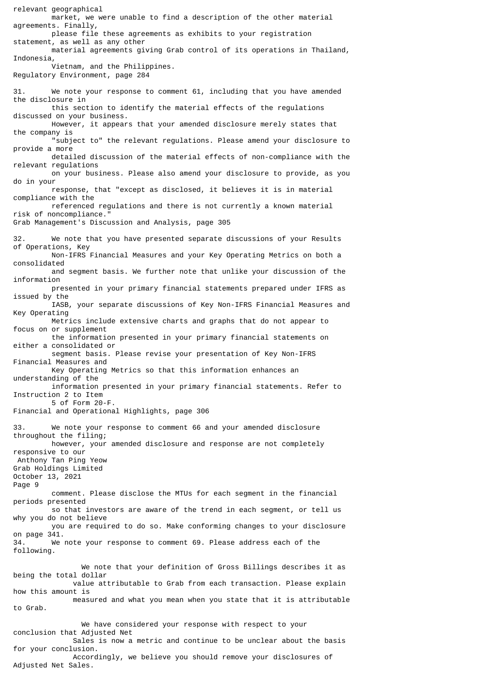relevant geographical market, we were unable to find a description of the other material agreements. Finally, please file these agreements as exhibits to your registration statement, as well as any other material agreements giving Grab control of its operations in Thailand, Indonesia, Vietnam, and the Philippines. Regulatory Environment, page 284 31. We note your response to comment 61, including that you have amended the disclosure in this section to identify the material effects of the regulations discussed on your business. However, it appears that your amended disclosure merely states that the company is "subject to" the relevant regulations. Please amend your disclosure to provide a more detailed discussion of the material effects of non-compliance with the relevant regulations on your business. Please also amend your disclosure to provide, as you do in your response, that "except as disclosed, it believes it is in material compliance with the referenced regulations and there is not currently a known material risk of noncompliance." Grab Management's Discussion and Analysis, page 305 32. We note that you have presented separate discussions of your Results of Operations, Key Non-IFRS Financial Measures and your Key Operating Metrics on both a consolidated and segment basis. We further note that unlike your discussion of the information presented in your primary financial statements prepared under IFRS as issued by the IASB, your separate discussions of Key Non-IFRS Financial Measures and Key Operating Metrics include extensive charts and graphs that do not appear to focus on or supplement the information presented in your primary financial statements on either a consolidated or segment basis. Please revise your presentation of Key Non-IFRS Financial Measures and Key Operating Metrics so that this information enhances an understanding of the information presented in your primary financial statements. Refer to Instruction 2 to Item 5 of Form 20-F. Financial and Operational Highlights, page 306 33. We note your response to comment 66 and your amended disclosure throughout the filing; however, your amended disclosure and response are not completely responsive to our Anthony Tan Ping Yeow Grab Holdings Limited October 13, 2021 Page 9 comment. Please disclose the MTUs for each segment in the financial periods presented so that investors are aware of the trend in each segment, or tell us why you do not believe you are required to do so. Make conforming changes to your disclosure on page 341. 34. We note your response to comment 69. Please address each of the following. We note that your definition of Gross Billings describes it as being the total dollar value attributable to Grab from each transaction. Please explain how this amount is measured and what you mean when you state that it is attributable to Grab. We have considered your response with respect to your conclusion that Adjusted Net Sales is now a metric and continue to be unclear about the basis for your conclusion. Accordingly, we believe you should remove your disclosures of

Adjusted Net Sales.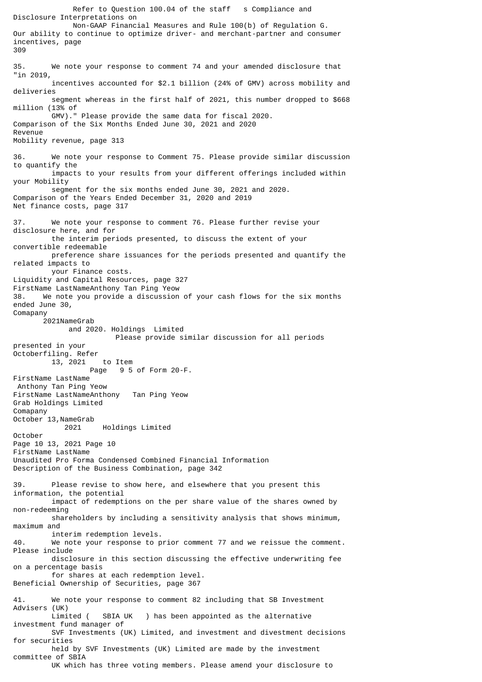Refer to Question 100.04 of the staff s Compliance and Disclosure Interpretations on Non-GAAP Financial Measures and Rule 100(b) of Regulation G. Our ability to continue to optimize driver- and merchant-partner and consumer incentives, page 309 35. We note your response to comment 74 and your amended disclosure that "in 2019, incentives accounted for \$2.1 billion (24% of GMV) across mobility and deliveries segment whereas in the first half of 2021, this number dropped to \$668 million (13% of GMV)." Please provide the same data for fiscal 2020. Comparison of the Six Months Ended June 30, 2021 and 2020 Revenue Mobility revenue, page 313 36. We note your response to Comment 75. Please provide similar discussion to quantify the impacts to your results from your different offerings included within your Mobility segment for the six months ended June 30, 2021 and 2020. Comparison of the Years Ended December 31, 2020 and 2019 Net finance costs, page 317 37. We note your response to comment 76. Please further revise your disclosure here, and for the interim periods presented, to discuss the extent of your convertible redeemable preference share issuances for the periods presented and quantify the related impacts to your Finance costs. Liquidity and Capital Resources, page 327 FirstName LastNameAnthony Tan Ping Yeow 38. We note you provide a discussion of your cash flows for the six months ended June 30, Comapany 2021NameGrab and 2020. Holdings Limited Please provide similar discussion for all periods presented in your Octoberfiling. Refer 13, 2021 to Item 9 5 of Form 20-F. FirstName LastName Anthony Tan Ping Yeow FirstName LastNameAnthony Tan Ping Yeow Grab Holdings Limited Comapany October 13,NameGrab 2021 Holdings Limited October Page 10 13, 2021 Page 10 FirstName LastName Unaudited Pro Forma Condensed Combined Financial Information Description of the Business Combination, page 342 39. Please revise to show here, and elsewhere that you present this information, the potential impact of redemptions on the per share value of the shares owned by non-redeeming shareholders by including a sensitivity analysis that shows minimum, maximum and interim redemption levels. 40. We note your response to prior comment 77 and we reissue the comment. Please include disclosure in this section discussing the effective underwriting fee on a percentage basis for shares at each redemption level. Beneficial Ownership of Securities, page 367 41. We note your response to comment 82 including that SB Investment Advisers (UK) SBIA UK ) has been appointed as the alternative investment fund manager of SVF Investments (UK) Limited, and investment and divestment decisions for securities held by SVF Investments (UK) Limited are made by the investment committee of SBIA UK which has three voting members. Please amend your disclosure to